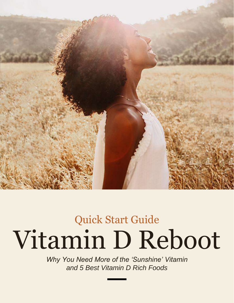

# Vitamin D Reboot Quick Start Guide

*Why You Need More of the 'Sunshine' Vitamin and 5 Best Vitamin D Rich Foods*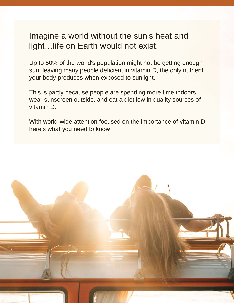### Imagine a world without the sun's heat and light…life on Earth would not exist.

Up to 50% of the world's population might not be getting enough sun, leaving many people deficient in vitamin D, the only nutrient your body produces when exposed to sunlight.

This is partly because people are spending more time indoors, wear sunscreen outside, and eat a diet low in quality sources of vitamin D.

With world-wide attention focused on the importance of vitamin D, here's what you need to know.

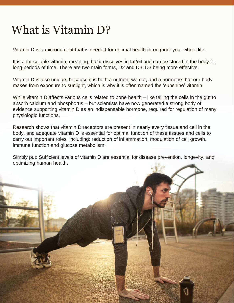## What is Vitamin D?

Vitamin D is a micronutrient that is needed for optimal health throughout your whole life.

It is a fat-soluble vitamin, meaning that it dissolves in fat/oil and can be stored in the body for long periods of time. There are two main forms, D2 and D3; D3 being more effective.

Vitamin D is also unique, because it is both a nutrient we eat, and a hormone that our body makes from exposure to sunlight, which is why it is often named the 'sunshine' vitamin.

While vitamin D affects various cells related to bone health – like telling the cells in the gut to absorb calcium and phosphorus – but scientists have now generated a strong body of evidence supporting vitamin D as an indispensable hormone, required for regulation of many physiologic functions.

Research shows that vitamin D receptors are present in nearly every tissue and cell in the body, and adequate vitamin D is essential for optimal function of these tissues and cells to carry out important roles, including: reduction of inflammation, modulation of cell growth, immune function and glucose metabolism.

Simply put: Sufficient levels of vitamin D are essential for disease prevention, longevity, and optimizing human health.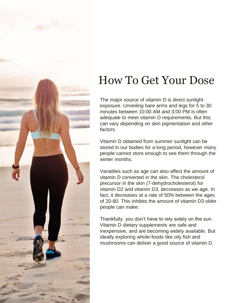

### How To Get Your Dose

The major source of vitamin D is direct sunlight exposure. Unveiling bare arms and legs for 5 to 30 minutes between 10:00 AM and 3:00 PM is often adequate to meet vitamin D requirements. But this can vary depending on skin pigmentation and other factors.

Vitamin D obtained from summer sunlight can be stored in our bodies for a long period, however many people cannot store enough to see them through the winter months.

Variables such as age can also affect the amount of vitamin D converted in the skin. The cholesterol precursor in the skin (7-dehydrocholesterol) for vitamin D2 and vitamin D3, decreases as we age. In fact, it decreases at a rate of 50% between the ages of 20-80. This inhibits the amount of vitamin D3 older people can make.

Thankfully, you don't have to rely solely on the sun. Vitamin D dietary supplements are safe and inexpensive, and are becoming widely available. But ideally exploring whole-foods like oily fish and mushrooms can deliver a good source of vitamin D.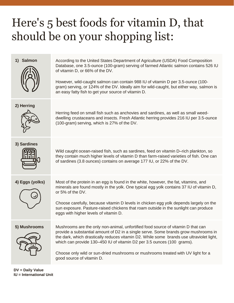## Here's 5 best foods for vitamin D, that should be on your shopping list:

1) **Salmon** According to the United States Department of Agriculture (USDA) Food Composition Database, one 3.5-ounce (100-gram) serving of farmed Atlantic salmon contains 526 IU of vitamin D, or 66% of the DV.

> However, wild-caught salmon can contain 988 IU of vitamin D per 3.5-ounce (100 gram) serving, or 124% of the DV. Ideally aim for wild-caught, but either way, salmon is an easy fatty fish to get your source of vitamin D.

### **2) Herring**



Herring feed on small fish such as anchovies and sardines, as well as small weeddwelling crustaceans and insects. Fresh Atlantic herring provides 216 IU per 3.5-ounce (100-gram) serving, which is 27% of the DV.

**3) Sardines**



Wild caught ocean-raised fish, such as sardines, feed on vitamin D–rich plankton, so they contain much higher levels of vitamin D than farm-raised varieties of fish. One can of sardines (3.8 ounces) contains on average 177 IU, or 22% of the DV.



**4) Eggs (yolks)** Most of the protein in an egg is found in the white, however, the fat, vitamins, and minerals are found mostly in the yolk. One typical egg yolk contains 37 IU of vitamin D, or 5% of the DV.

> Choose carefully, because vitamin D levels in chicken egg yolk depends largely on the sun exposure. Pasture-raised chickens that roam outside in the sunlight can produce eggs with higher levels of vitamin D.



**5) Mushrooms** Mushrooms are the only non-animal, unfortified food source of vitamin D that can provide a substantial amount of D2 in a single serve. Some brands grow mushrooms in the dark, which drastically reduces vitamin D2. While some brands use ultraviolet light, which can provide 130–450 IU of vitamin D2 per 3.5 ounces (100 grams).

> Choose only wild or sun-dried mushrooms or mushrooms treated with UV light for a good source of vitamin D.

**DV = Daily Value IU = International Unit**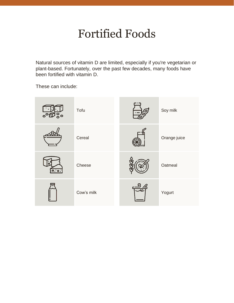### Fortified Foods

Natural sources of vitamin D are limited, especially if you're vegetarian or plant-based. Fortunately, over the past few decades, many foods have been fortified with vitamin D.

These can include:

| $\circ$ | Tofu       | Soy milk     |
|---------|------------|--------------|
|         | Cereal     | Orange juice |
| 0.00    | Cheese     | Oatmeal      |
|         | Cow's milk | Yogurt       |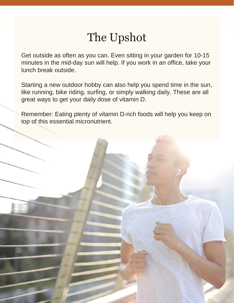### The Upshot

Get outside as often as you can. Even sitting in your garden for 10-15 minutes in the mid-day sun will help. If you work in an office, take your lunch break outside.

Starting a new outdoor hobby can also help you spend time in the sun, like running, bike riding, surfing, or simply walking daily. These are all great ways to get your daily dose of vitamin D.

Remember: Eating plenty of vitamin D-rich foods will help you keep on top of this essential micronutrient.